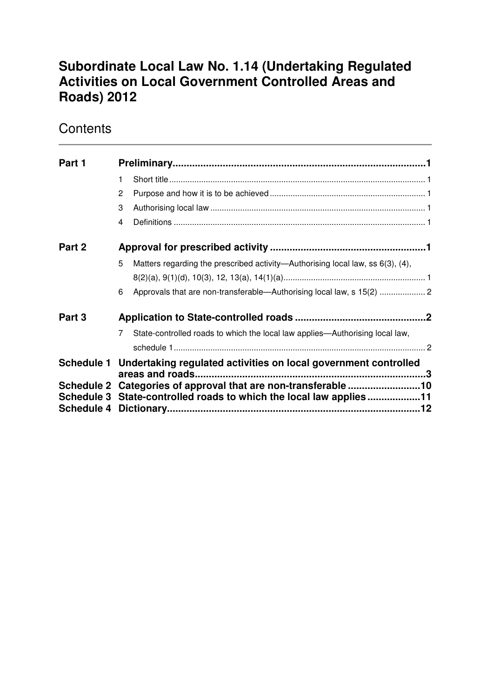# **Subordinate Local Law No. 1.14 (Undertaking Regulated Activities on Local Government Controlled Areas and Roads) 2012**

# **Contents**

| Part 1 |                                                                                               |                                                                                |  |  |
|--------|-----------------------------------------------------------------------------------------------|--------------------------------------------------------------------------------|--|--|
|        | 1                                                                                             |                                                                                |  |  |
|        | 2                                                                                             |                                                                                |  |  |
|        | 3                                                                                             |                                                                                |  |  |
|        | 4                                                                                             |                                                                                |  |  |
| Part 2 |                                                                                               |                                                                                |  |  |
|        | 5                                                                                             | Matters regarding the prescribed activity—Authorising local law, ss 6(3), (4), |  |  |
|        |                                                                                               |                                                                                |  |  |
|        | 6                                                                                             | Approvals that are non-transferable-Authorising local law, s 15(2)  2          |  |  |
| Part 3 |                                                                                               |                                                                                |  |  |
|        | $\overline{7}$                                                                                | State-controlled roads to which the local law applies—Authorising local law,   |  |  |
|        |                                                                                               |                                                                                |  |  |
|        | Schedule 1 Undertaking regulated activities on local government controlled<br>areas and roads |                                                                                |  |  |
|        |                                                                                               | Schedule 2 Categories of approval that are non-transferable 10                 |  |  |
|        |                                                                                               | Schedule 3 State-controlled roads to which the local law applies11             |  |  |
|        |                                                                                               |                                                                                |  |  |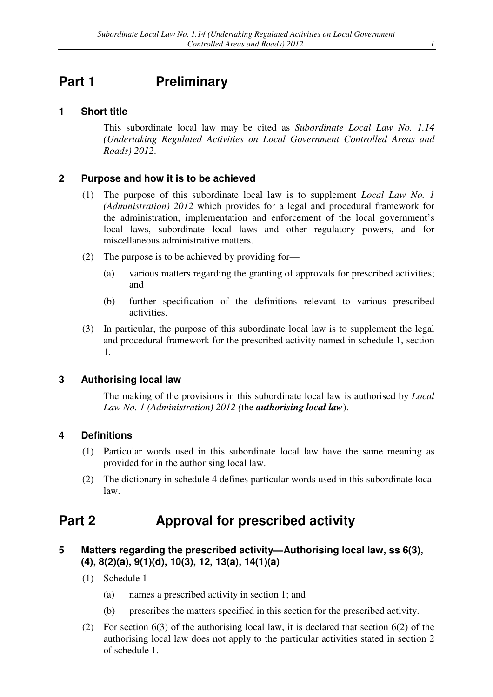# **Part 1** Preliminary

#### **1 Short title**

This subordinate local law may be cited as *Subordinate Local Law No. 1.14 (Undertaking Regulated Activities on Local Government Controlled Areas and Roads) 2012*.

#### **2 Purpose and how it is to be achieved**

- (1) The purpose of this subordinate local law is to supplement *Local Law No. 1 (Administration) 2012* which provides for a legal and procedural framework for the administration, implementation and enforcement of the local government's local laws, subordinate local laws and other regulatory powers, and for miscellaneous administrative matters.
- (2) The purpose is to be achieved by providing for—
	- (a) various matters regarding the granting of approvals for prescribed activities; and
	- (b) further specification of the definitions relevant to various prescribed activities.
- (3) In particular, the purpose of this subordinate local law is to supplement the legal and procedural framework for the prescribed activity named in schedule 1, section 1.

#### **3 Authorising local law**

The making of the provisions in this subordinate local law is authorised by *Local Law No. 1 (Administration) 2012 (*the *authorising local law*).

#### **4 Definitions**

- (1) Particular words used in this subordinate local law have the same meaning as provided for in the authorising local law.
- (2) The dictionary in schedule 4 defines particular words used in this subordinate local law.

### **Part 2 Approval for prescribed activity**

#### **5 Matters regarding the prescribed activity—Authorising local law, ss 6(3), (4), 8(2)(a), 9(1)(d), 10(3), 12, 13(a), 14(1)(a)**

- (1) Schedule 1—
	- (a) names a prescribed activity in section 1; and
	- (b) prescribes the matters specified in this section for the prescribed activity.
- (2) For section 6(3) of the authorising local law, it is declared that section 6(2) of the authorising local law does not apply to the particular activities stated in section 2 of schedule 1.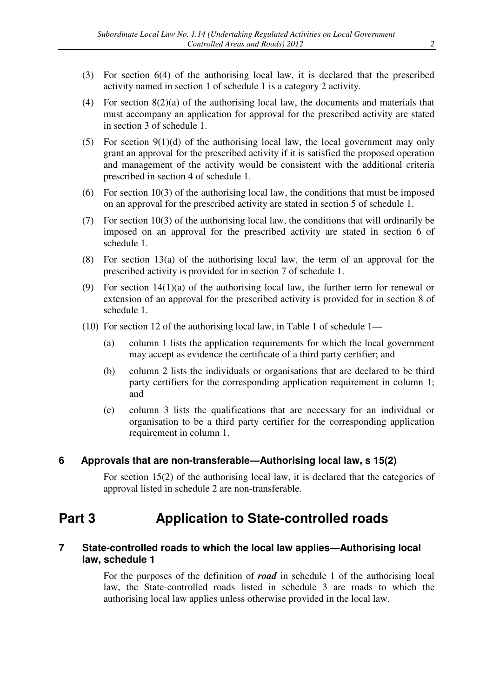- (3) For section 6(4) of the authorising local law, it is declared that the prescribed activity named in section 1 of schedule 1 is a category 2 activity.
- (4) For section 8(2)(a) of the authorising local law, the documents and materials that must accompany an application for approval for the prescribed activity are stated in section 3 of schedule 1.
- (5) For section  $9(1)(d)$  of the authorising local law, the local government may only grant an approval for the prescribed activity if it is satisfied the proposed operation and management of the activity would be consistent with the additional criteria prescribed in section 4 of schedule 1.
- (6) For section 10(3) of the authorising local law, the conditions that must be imposed on an approval for the prescribed activity are stated in section 5 of schedule 1.
- (7) For section 10(3) of the authorising local law, the conditions that will ordinarily be imposed on an approval for the prescribed activity are stated in section 6 of schedule 1.
- (8) For section 13(a) of the authorising local law, the term of an approval for the prescribed activity is provided for in section 7 of schedule 1.
- (9) For section 14(1)(a) of the authorising local law, the further term for renewal or extension of an approval for the prescribed activity is provided for in section 8 of schedule 1.
- (10) For section 12 of the authorising local law, in Table 1 of schedule 1—
	- (a) column 1 lists the application requirements for which the local government may accept as evidence the certificate of a third party certifier; and
	- (b) column 2 lists the individuals or organisations that are declared to be third party certifiers for the corresponding application requirement in column 1; and
	- (c) column 3 lists the qualifications that are necessary for an individual or organisation to be a third party certifier for the corresponding application requirement in column 1.

### **6 Approvals that are non-transferable—Authorising local law, s 15(2)**

For section 15(2) of the authorising local law, it is declared that the categories of approval listed in schedule 2 are non-transferable.

# **Part 3 Application to State-controlled roads**

### **7 State-controlled roads to which the local law applies—Authorising local law, schedule 1**

For the purposes of the definition of *road* in schedule 1 of the authorising local law, the State-controlled roads listed in schedule 3 are roads to which the authorising local law applies unless otherwise provided in the local law.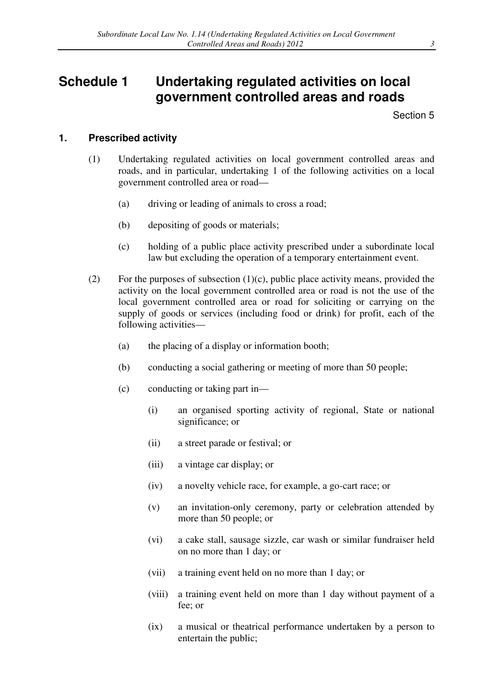# **Schedule 1 Undertaking regulated activities on local government controlled areas and roads**

Section 5

#### **1. Prescribed activity**

- (1) Undertaking regulated activities on local government controlled areas and roads, and in particular, undertaking 1 of the following activities on a local government controlled area or road—
	- (a) driving or leading of animals to cross a road;
	- (b) depositing of goods or materials;
	- (c) holding of a public place activity prescribed under a subordinate local law but excluding the operation of a temporary entertainment event.
- (2) For the purposes of subsection  $(1)(c)$ , public place activity means, provided the activity on the local government controlled area or road is not the use of the local government controlled area or road for soliciting or carrying on the supply of goods or services (including food or drink) for profit, each of the following activities—
	- (a) the placing of a display or information booth;
	- (b) conducting a social gathering or meeting of more than 50 people;
	- (c) conducting or taking part in—
		- (i) an organised sporting activity of regional, State or national significance; or
		- (ii) a street parade or festival; or
		- (iii) a vintage car display; or
		- (iv) a novelty vehicle race, for example, a go-cart race; or
		- (v) an invitation-only ceremony, party or celebration attended by more than 50 people; or
		- (vi) a cake stall, sausage sizzle, car wash or similar fundraiser held on no more than 1 day; or
		- (vii) a training event held on no more than 1 day; or
		- (viii) a training event held on more than 1 day without payment of a fee; or
		- (ix) a musical or theatrical performance undertaken by a person to entertain the public;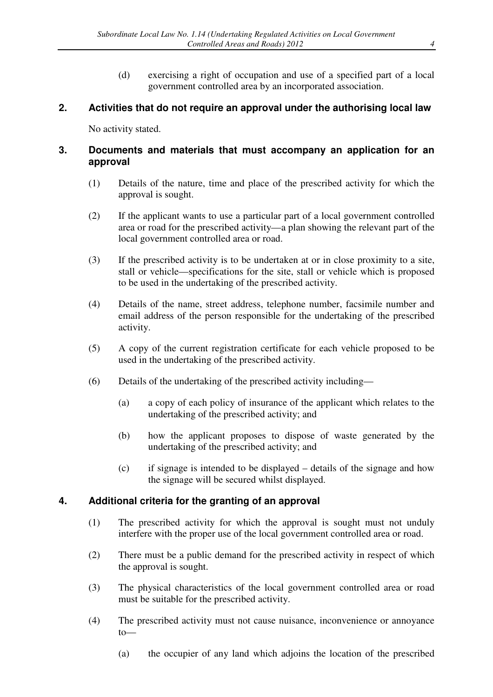(d) exercising a right of occupation and use of a specified part of a local government controlled area by an incorporated association.

### **2. Activities that do not require an approval under the authorising local law**

No activity stated.

### **3. Documents and materials that must accompany an application for an approval**

- (1) Details of the nature, time and place of the prescribed activity for which the approval is sought.
- (2) If the applicant wants to use a particular part of a local government controlled area or road for the prescribed activity—a plan showing the relevant part of the local government controlled area or road.
- (3) If the prescribed activity is to be undertaken at or in close proximity to a site, stall or vehicle—specifications for the site, stall or vehicle which is proposed to be used in the undertaking of the prescribed activity.
- (4) Details of the name, street address, telephone number, facsimile number and email address of the person responsible for the undertaking of the prescribed activity.
- (5) A copy of the current registration certificate for each vehicle proposed to be used in the undertaking of the prescribed activity.
- (6) Details of the undertaking of the prescribed activity including—
	- (a) a copy of each policy of insurance of the applicant which relates to the undertaking of the prescribed activity; and
	- (b) how the applicant proposes to dispose of waste generated by the undertaking of the prescribed activity; and
	- (c) if signage is intended to be displayed details of the signage and how the signage will be secured whilst displayed.

### **4. Additional criteria for the granting of an approval**

- (1) The prescribed activity for which the approval is sought must not unduly interfere with the proper use of the local government controlled area or road.
- (2) There must be a public demand for the prescribed activity in respect of which the approval is sought.
- (3) The physical characteristics of the local government controlled area or road must be suitable for the prescribed activity.
- (4) The prescribed activity must not cause nuisance, inconvenience or annoyance to—
	- (a) the occupier of any land which adjoins the location of the prescribed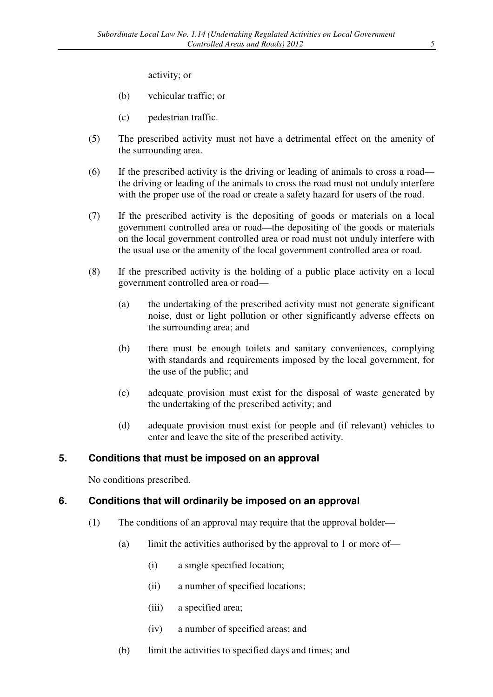activity; or

- (b) vehicular traffic; or
- (c) pedestrian traffic.
- (5) The prescribed activity must not have a detrimental effect on the amenity of the surrounding area.
- (6) If the prescribed activity is the driving or leading of animals to cross a road the driving or leading of the animals to cross the road must not unduly interfere with the proper use of the road or create a safety hazard for users of the road.
- (7) If the prescribed activity is the depositing of goods or materials on a local government controlled area or road—the depositing of the goods or materials on the local government controlled area or road must not unduly interfere with the usual use or the amenity of the local government controlled area or road.
- (8) If the prescribed activity is the holding of a public place activity on a local government controlled area or road—
	- (a) the undertaking of the prescribed activity must not generate significant noise, dust or light pollution or other significantly adverse effects on the surrounding area; and
	- (b) there must be enough toilets and sanitary conveniences, complying with standards and requirements imposed by the local government, for the use of the public; and
	- (c) adequate provision must exist for the disposal of waste generated by the undertaking of the prescribed activity; and
	- (d) adequate provision must exist for people and (if relevant) vehicles to enter and leave the site of the prescribed activity.

### **5. Conditions that must be imposed on an approval**

No conditions prescribed.

#### **6. Conditions that will ordinarily be imposed on an approval**

- (1) The conditions of an approval may require that the approval holder—
	- (a) limit the activities authorised by the approval to 1 or more of—
		- (i) a single specified location;
		- (ii) a number of specified locations;
		- (iii) a specified area;
		- (iv) a number of specified areas; and
	- (b) limit the activities to specified days and times; and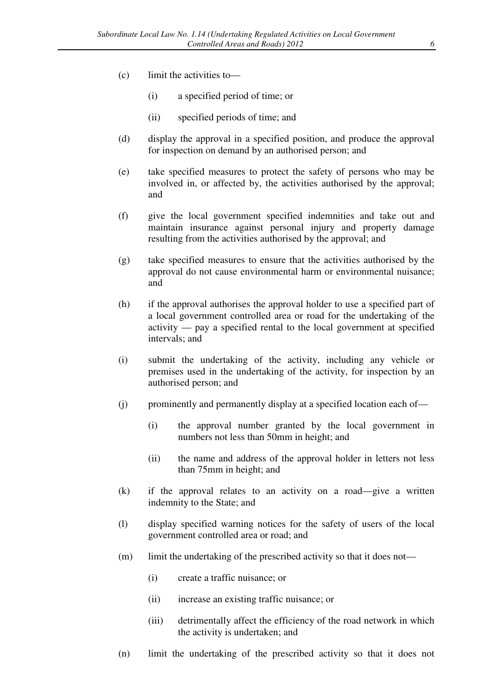- (c) limit the activities to—
	- (i) a specified period of time; or
	- (ii) specified periods of time; and
- (d) display the approval in a specified position, and produce the approval for inspection on demand by an authorised person; and
- (e) take specified measures to protect the safety of persons who may be involved in, or affected by, the activities authorised by the approval; and
- (f) give the local government specified indemnities and take out and maintain insurance against personal injury and property damage resulting from the activities authorised by the approval; and
- (g) take specified measures to ensure that the activities authorised by the approval do not cause environmental harm or environmental nuisance; and
- (h) if the approval authorises the approval holder to use a specified part of a local government controlled area or road for the undertaking of the activity — pay a specified rental to the local government at specified intervals; and
- (i) submit the undertaking of the activity, including any vehicle or premises used in the undertaking of the activity, for inspection by an authorised person; and
- $(i)$  prominently and permanently display at a specified location each of-
	- (i) the approval number granted by the local government in numbers not less than 50mm in height; and
	- (ii) the name and address of the approval holder in letters not less than 75mm in height; and
- (k) if the approval relates to an activity on a road—give a written indemnity to the State; and
- (l) display specified warning notices for the safety of users of the local government controlled area or road; and
- (m) limit the undertaking of the prescribed activity so that it does not—
	- (i) create a traffic nuisance; or
	- (ii) increase an existing traffic nuisance; or
	- (iii) detrimentally affect the efficiency of the road network in which the activity is undertaken; and
- (n) limit the undertaking of the prescribed activity so that it does not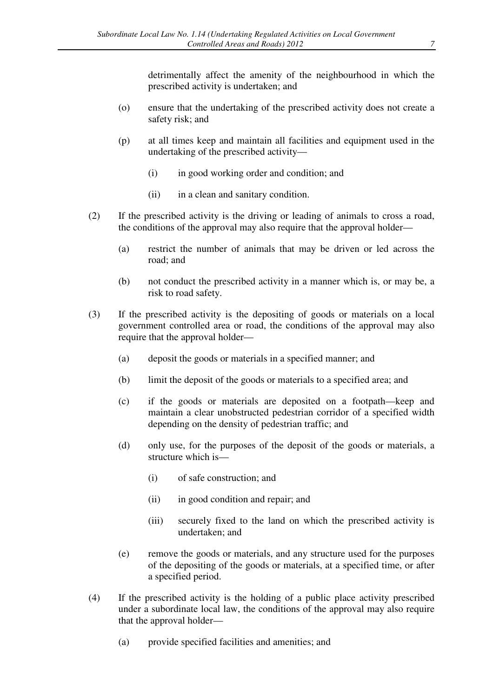detrimentally affect the amenity of the neighbourhood in which the prescribed activity is undertaken; and

- (o) ensure that the undertaking of the prescribed activity does not create a safety risk; and
- (p) at all times keep and maintain all facilities and equipment used in the undertaking of the prescribed activity—
	- (i) in good working order and condition; and
	- (ii) in a clean and sanitary condition.
- (2) If the prescribed activity is the driving or leading of animals to cross a road, the conditions of the approval may also require that the approval holder—
	- (a) restrict the number of animals that may be driven or led across the road; and
	- (b) not conduct the prescribed activity in a manner which is, or may be, a risk to road safety.
- (3) If the prescribed activity is the depositing of goods or materials on a local government controlled area or road, the conditions of the approval may also require that the approval holder—
	- (a) deposit the goods or materials in a specified manner; and
	- (b) limit the deposit of the goods or materials to a specified area; and
	- (c) if the goods or materials are deposited on a footpath—keep and maintain a clear unobstructed pedestrian corridor of a specified width depending on the density of pedestrian traffic; and
	- (d) only use, for the purposes of the deposit of the goods or materials, a structure which is—
		- (i) of safe construction; and
		- (ii) in good condition and repair; and
		- (iii) securely fixed to the land on which the prescribed activity is undertaken; and
	- (e) remove the goods or materials, and any structure used for the purposes of the depositing of the goods or materials, at a specified time, or after a specified period.
- (4) If the prescribed activity is the holding of a public place activity prescribed under a subordinate local law, the conditions of the approval may also require that the approval holder—
	- (a) provide specified facilities and amenities; and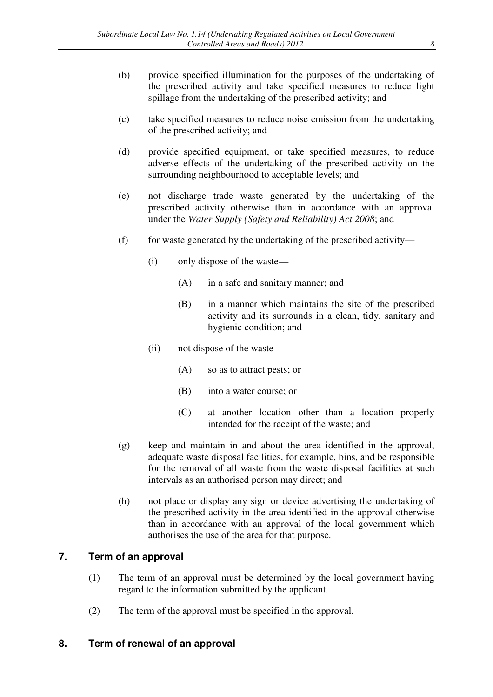- (b) provide specified illumination for the purposes of the undertaking of the prescribed activity and take specified measures to reduce light spillage from the undertaking of the prescribed activity; and
- (c) take specified measures to reduce noise emission from the undertaking of the prescribed activity; and
- (d) provide specified equipment, or take specified measures, to reduce adverse effects of the undertaking of the prescribed activity on the surrounding neighbourhood to acceptable levels; and
- (e) not discharge trade waste generated by the undertaking of the prescribed activity otherwise than in accordance with an approval under the *Water Supply (Safety and Reliability) Act 2008*; and
- $(f)$  for waste generated by the undertaking of the prescribed activity—
	- (i) only dispose of the waste—
		- (A) in a safe and sanitary manner; and
		- (B) in a manner which maintains the site of the prescribed activity and its surrounds in a clean, tidy, sanitary and hygienic condition; and
	- (ii) not dispose of the waste—
		- (A) so as to attract pests; or
		- (B) into a water course; or
		- (C) at another location other than a location properly intended for the receipt of the waste; and
- (g) keep and maintain in and about the area identified in the approval, adequate waste disposal facilities, for example, bins, and be responsible for the removal of all waste from the waste disposal facilities at such intervals as an authorised person may direct; and
- (h) not place or display any sign or device advertising the undertaking of the prescribed activity in the area identified in the approval otherwise than in accordance with an approval of the local government which authorises the use of the area for that purpose.

### **7. Term of an approval**

- (1) The term of an approval must be determined by the local government having regard to the information submitted by the applicant.
- (2) The term of the approval must be specified in the approval.

### **8. Term of renewal of an approval**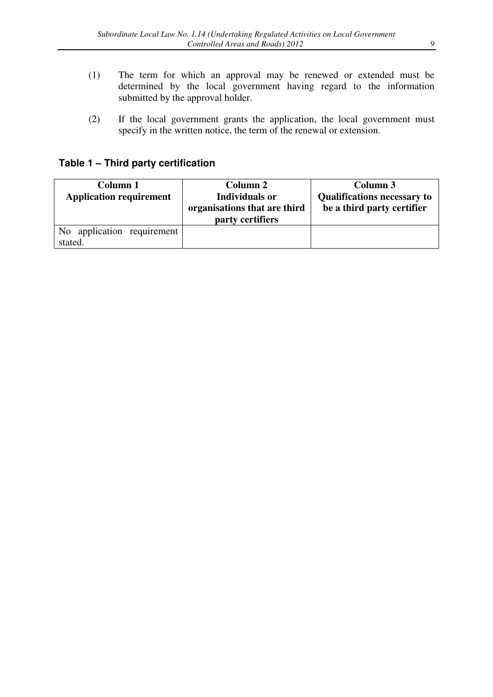- (1) The term for which an approval may be renewed or extended must be determined by the local government having regard to the information submitted by the approval holder.
- (2) If the local government grants the application, the local government must specify in the written notice, the term of the renewal or extension.

# **Table 1 – Third party certification**

| Column 1                       | Column 2                     | Column 3                           |
|--------------------------------|------------------------------|------------------------------------|
| <b>Application requirement</b> | <b>Individuals or</b>        | <b>Qualifications necessary to</b> |
|                                | organisations that are third | be a third party certifier         |
|                                | party certifiers             |                                    |
| No application requirement     |                              |                                    |
| stated.                        |                              |                                    |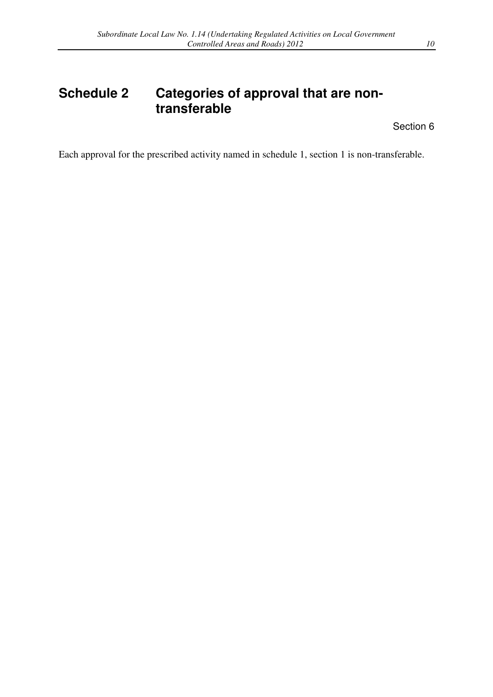# **Schedule 2 Categories of approval that are nontransferable**

Section 6

Each approval for the prescribed activity named in schedule 1, section 1 is non-transferable.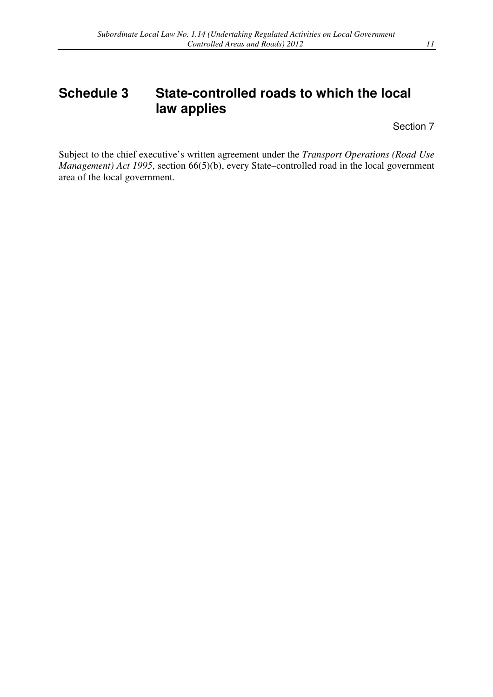# **Schedule 3 State-controlled roads to which the local law applies**

Section 7

Subject to the chief executive's written agreement under the *Transport Operations (Road Use Management) Act 1995*, section 66(5)(b), every State–controlled road in the local government area of the local government.